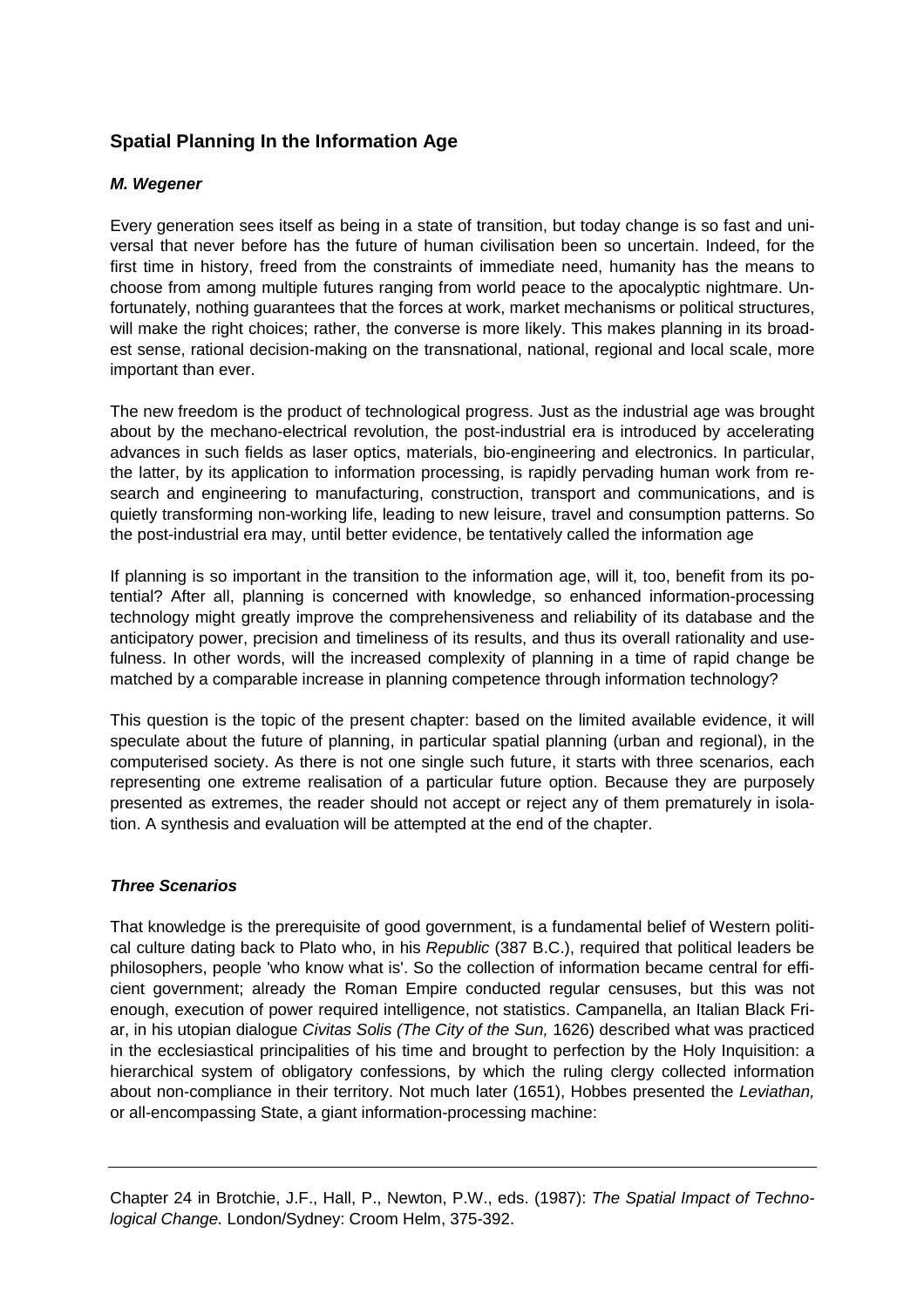# **Spatial Planning In the Information Age**

## **M. Wegener**

Every generation sees itself as being in a state of transition, but today change is so fast and universal that never before has the future of human civilisation been so uncertain. Indeed, for the first time in history, freed from the constraints of immediate need, humanity has the means to choose from among multiple futures ranging from world peace to the apocalyptic nightmare. Unfortunately, nothing guarantees that the forces at work, market mechanisms or political structures, will make the right choices; rather, the converse is more likely. This makes planning in its broadest sense, rational decision-making on the transnational, national, regional and local scale, more important than ever.

The new freedom is the product of technological progress. Just as the industrial age was brought about by the mechano-electrical revolution, the post-industrial era is introduced by accelerating advances in such fields as laser optics, materials, bio-engineering and electronics. In particular, the latter, by its application to information processing, is rapidly pervading human work from research and engineering to manufacturing, construction, transport and communications, and is quietly transforming non-working life, leading to new leisure, travel and consumption patterns. So the post-industrial era may, until better evidence, be tentatively called the information age

If planning is so important in the transition to the information age, will it, too, benefit from its potential? After all, planning is concerned with knowledge, so enhanced information-processing technology might greatly improve the comprehensiveness and reliability of its database and the anticipatory power, precision and timeliness of its results, and thus its overall rationality and usefulness. In other words, will the increased complexity of planning in a time of rapid change be matched by a comparable increase in planning competence through information technology?

This question is the topic of the present chapter: based on the limited available evidence, it will speculate about the future of planning, in particular spatial planning (urban and regional), in the computerised society. As there is not one single such future, it starts with three scenarios, each representing one extreme realisation of a particular future option. Because they are purposely presented as extremes, the reader should not accept or reject any of them prematurely in isolation. A synthesis and evaluation will be attempted at the end of the chapter.

#### **Three Scenarios**

That knowledge is the prerequisite of good government, is a fundamental belief of Western political culture dating back to Plato who, in his Republic (387 B.C.), required that political leaders be philosophers, people 'who know what is'. So the collection of information became central for efficient government; already the Roman Empire conducted regular censuses, but this was not enough, execution of power required intelligence, not statistics. Campanella, an Italian Black Friar, in his utopian dialogue Civitas Solis (The City of the Sun, 1626) described what was practiced in the ecclesiastical principalities of his time and brought to perfection by the Holy Inquisition: a hierarchical system of obligatory confessions, by which the ruling clergy collected information about non-compliance in their territory. Not much later (1651), Hobbes presented the Leviathan, or all-encompassing State, a giant information-processing machine:

Chapter 24 in Brotchie, J.F., Hall, P., Newton, P.W., eds. (1987): The Spatial Impact of Technological Change. London/Sydney: Croom Helm, 375-392.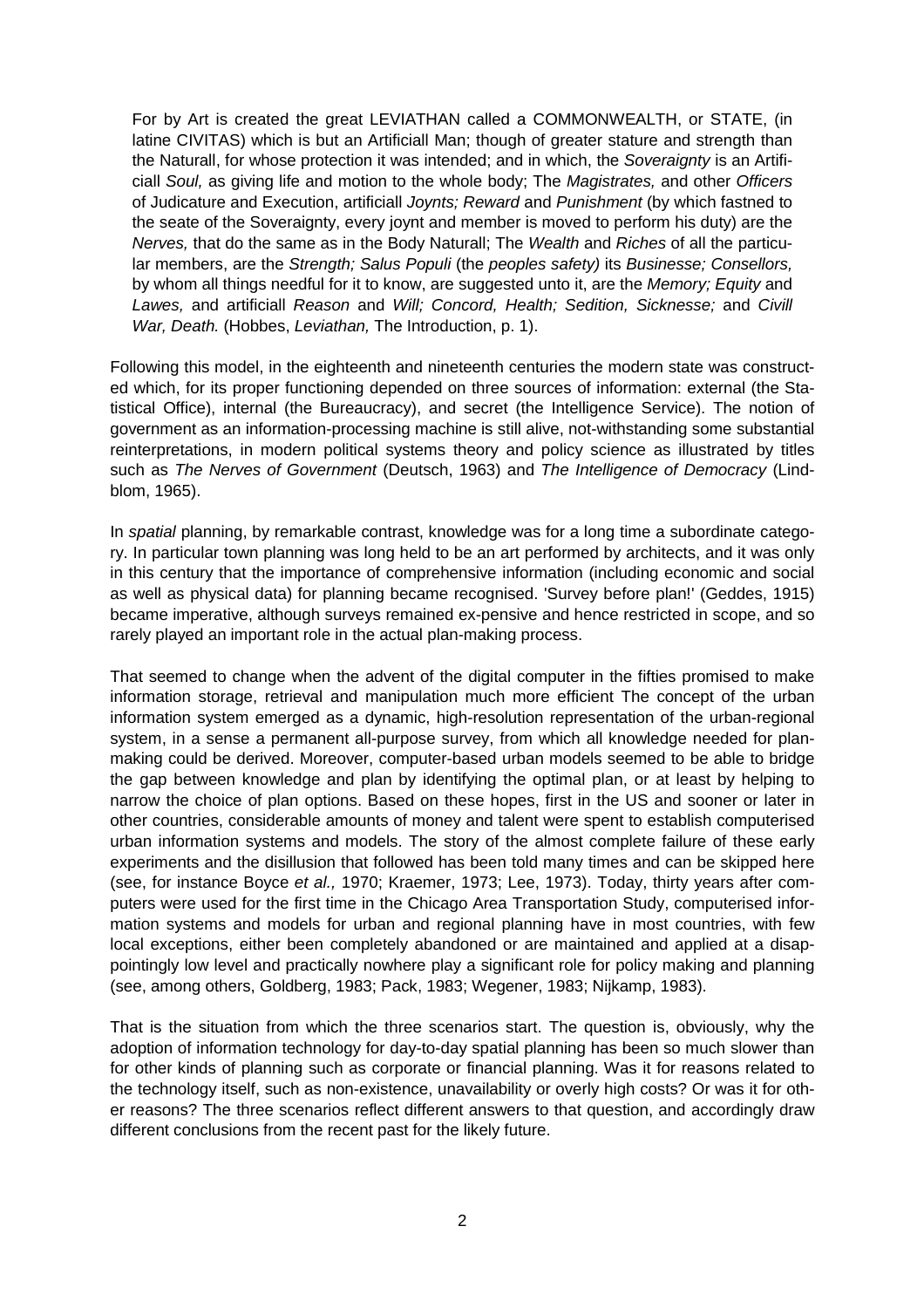For by Art is created the great LEVIATHAN called a COMMONWEALTH, or STATE, (in latine CIVITAS) which is but an Artificiall Man; though of greater stature and strength than the Naturall, for whose protection it was intended; and in which, the Soveraignty is an Artificiall Soul, as giving life and motion to the whole body; The Magistrates, and other Officers of Judicature and Execution, artificiall Joynts; Reward and Punishment (by which fastned to the seate of the Soveraignty, every joynt and member is moved to perform his duty) are the Nerves, that do the same as in the Body Naturall; The Wealth and Riches of all the particular members, are the Strength; Salus Populi (the peoples safety) its Businesse; Consellors, by whom all things needful for it to know, are suggested unto it, are the Memory; Equity and Lawes, and artificiall Reason and Will; Concord, Health; Sedition, Sicknesse; and Civill War, Death. (Hobbes, Leviathan, The Introduction, p. 1).

Following this model, in the eighteenth and nineteenth centuries the modern state was constructed which, for its proper functioning depended on three sources of information: external (the Statistical Office), internal (the Bureaucracy), and secret (the Intelligence Service). The notion of government as an information-processing machine is still alive, not-withstanding some substantial reinterpretations, in modern political systems theory and policy science as illustrated by titles such as The Nerves of Government (Deutsch, 1963) and The Intelligence of Democracy (Lindblom, 1965).

In spatial planning, by remarkable contrast, knowledge was for a long time a subordinate category. In particular town planning was long held to be an art performed by architects, and it was only in this century that the importance of comprehensive information (including economic and social as well as physical data) for planning became recognised. 'Survey before plan!' (Geddes, 1915) became imperative, although surveys remained ex-pensive and hence restricted in scope, and so rarely played an important role in the actual plan-making process.

That seemed to change when the advent of the digital computer in the fifties promised to make information storage, retrieval and manipulation much more efficient The concept of the urban information system emerged as a dynamic, high-resolution representation of the urban-regional system, in a sense a permanent all-purpose survey, from which all knowledge needed for planmaking could be derived. Moreover, computer-based urban models seemed to be able to bridge the gap between knowledge and plan by identifying the optimal plan, or at least by helping to narrow the choice of plan options. Based on these hopes, first in the US and sooner or later in other countries, considerable amounts of money and talent were spent to establish computerised urban information systems and models. The story of the almost complete failure of these early experiments and the disillusion that followed has been told many times and can be skipped here (see, for instance Boyce et al., 1970; Kraemer, 1973; Lee, 1973). Today, thirty years after computers were used for the first time in the Chicago Area Transportation Study, computerised information systems and models for urban and regional planning have in most countries, with few local exceptions, either been completely abandoned or are maintained and applied at a disappointingly low level and practically nowhere play a significant role for policy making and planning (see, among others, Goldberg, 1983; Pack, 1983; Wegener, 1983; Nijkamp, 1983).

That is the situation from which the three scenarios start. The question is, obviously, why the adoption of information technology for day-to-day spatial planning has been so much slower than for other kinds of planning such as corporate or financial planning. Was it for reasons related to the technology itself, such as non-existence, unavailability or overly high costs? Or was it for other reasons? The three scenarios reflect different answers to that question, and accordingly draw different conclusions from the recent past for the likely future.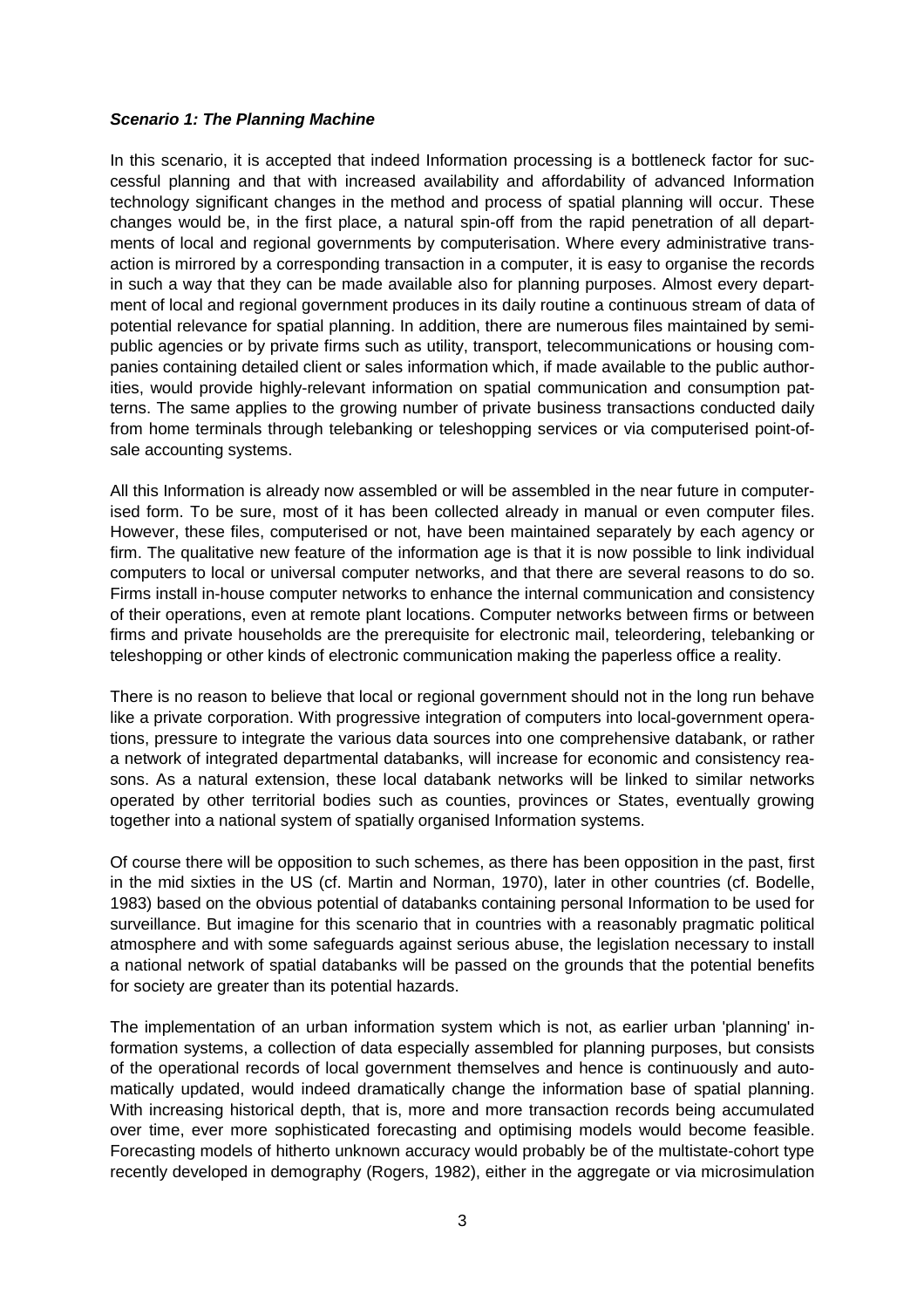#### **Scenario 1: The Planning Machine**

In this scenario, it is accepted that indeed Information processing is a bottleneck factor for successful planning and that with increased availability and affordability of advanced Information technology significant changes in the method and process of spatial planning will occur. These changes would be, in the first place, a natural spin-off from the rapid penetration of all departments of local and regional governments by computerisation. Where every administrative transaction is mirrored by a corresponding transaction in a computer, it is easy to organise the records in such a way that they can be made available also for planning purposes. Almost every department of local and regional government produces in its daily routine a continuous stream of data of potential relevance for spatial planning. In addition, there are numerous files maintained by semipublic agencies or by private firms such as utility, transport, telecommunications or housing companies containing detailed client or sales information which, if made available to the public authorities, would provide highly-relevant information on spatial communication and consumption patterns. The same applies to the growing number of private business transactions conducted daily from home terminals through telebanking or teleshopping services or via computerised point-ofsale accounting systems.

All this Information is already now assembled or will be assembled in the near future in computerised form. To be sure, most of it has been collected already in manual or even computer files. However, these files, computerised or not, have been maintained separately by each agency or firm. The qualitative new feature of the information age is that it is now possible to link individual computers to local or universal computer networks, and that there are several reasons to do so. Firms install in-house computer networks to enhance the internal communication and consistency of their operations, even at remote plant locations. Computer networks between firms or between firms and private households are the prerequisite for electronic mail, teleordering, telebanking or teleshopping or other kinds of electronic communication making the paperless office a reality.

There is no reason to believe that local or regional government should not in the long run behave like a private corporation. With progressive integration of computers into local-government operations, pressure to integrate the various data sources into one comprehensive databank, or rather a network of integrated departmental databanks, will increase for economic and consistency reasons. As a natural extension, these local databank networks will be linked to similar networks operated by other territorial bodies such as counties, provinces or States, eventually growing together into a national system of spatially organised Information systems.

Of course there will be opposition to such schemes, as there has been opposition in the past, first in the mid sixties in the US (cf. Martin and Norman, 1970), later in other countries (cf. Bodelle, 1983) based on the obvious potential of databanks containing personal Information to be used for surveillance. But imagine for this scenario that in countries with a reasonably pragmatic political atmosphere and with some safeguards against serious abuse, the legislation necessary to install a national network of spatial databanks will be passed on the grounds that the potential benefits for society are greater than its potential hazards.

The implementation of an urban information system which is not, as earlier urban 'planning' information systems, a collection of data especially assembled for planning purposes, but consists of the operational records of local government themselves and hence is continuously and automatically updated, would indeed dramatically change the information base of spatial planning. With increasing historical depth, that is, more and more transaction records being accumulated over time, ever more sophisticated forecasting and optimising models would become feasible. Forecasting models of hitherto unknown accuracy would probably be of the multistate-cohort type recently developed in demography (Rogers, 1982), either in the aggregate or via microsimulation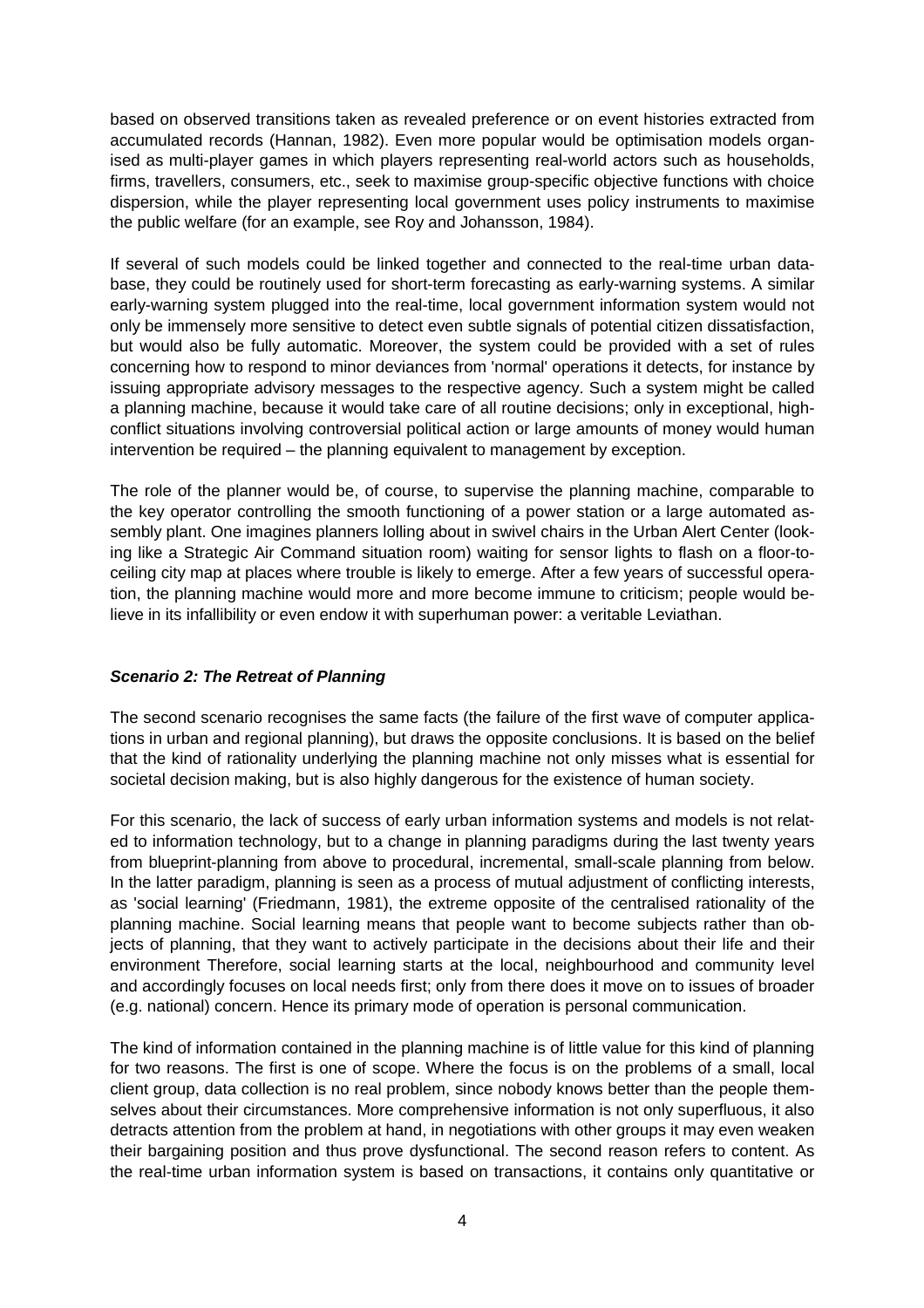based on observed transitions taken as revealed preference or on event histories extracted from accumulated records (Hannan, 1982). Even more popular would be optimisation models organised as multi-player games in which players representing real-world actors such as households, firms, travellers, consumers, etc., seek to maximise group-specific objective functions with choice dispersion, while the player representing local government uses policy instruments to maximise the public welfare (for an example, see Roy and Johansson, 1984).

If several of such models could be linked together and connected to the real-time urban database, they could be routinely used for short-term forecasting as early-warning systems. A similar early-warning system plugged into the real-time, local government information system would not only be immensely more sensitive to detect even subtle signals of potential citizen dissatisfaction, but would also be fully automatic. Moreover, the system could be provided with a set of rules concerning how to respond to minor deviances from 'normal' operations it detects, for instance by issuing appropriate advisory messages to the respective agency. Such a system might be called a planning machine, because it would take care of all routine decisions; only in exceptional, highconflict situations involving controversial political action or large amounts of money would human intervention be required – the planning equivalent to management by exception.

The role of the planner would be, of course, to supervise the planning machine, comparable to the key operator controlling the smooth functioning of a power station or a large automated assembly plant. One imagines planners lolling about in swivel chairs in the Urban Alert Center (looking like a Strategic Air Command situation room) waiting for sensor lights to flash on a floor-toceiling city map at places where trouble is likely to emerge. After a few years of successful operation, the planning machine would more and more become immune to criticism; people would believe in its infallibility or even endow it with superhuman power: a veritable Leviathan.

# **Scenario 2: The Retreat of Planning**

The second scenario recognises the same facts (the failure of the first wave of computer applications in urban and regional planning), but draws the opposite conclusions. It is based on the belief that the kind of rationality underlying the planning machine not only misses what is essential for societal decision making, but is also highly dangerous for the existence of human society.

For this scenario, the lack of success of early urban information systems and models is not related to information technology, but to a change in planning paradigms during the last twenty years from blueprint-planning from above to procedural, incremental, small-scale planning from below. In the latter paradigm, planning is seen as a process of mutual adjustment of conflicting interests, as 'social learning' (Friedmann, 1981), the extreme opposite of the centralised rationality of the planning machine. Social learning means that people want to become subjects rather than objects of planning, that they want to actively participate in the decisions about their life and their environment Therefore, social learning starts at the local, neighbourhood and community level and accordingly focuses on local needs first; only from there does it move on to issues of broader (e.g. national) concern. Hence its primary mode of operation is personal communication.

The kind of information contained in the planning machine is of little value for this kind of planning for two reasons. The first is one of scope. Where the focus is on the problems of a small, local client group, data collection is no real problem, since nobody knows better than the people themselves about their circumstances. More comprehensive information is not only superfluous, it also detracts attention from the problem at hand, in negotiations with other groups it may even weaken their bargaining position and thus prove dysfunctional. The second reason refers to content. As the real-time urban information system is based on transactions, it contains only quantitative or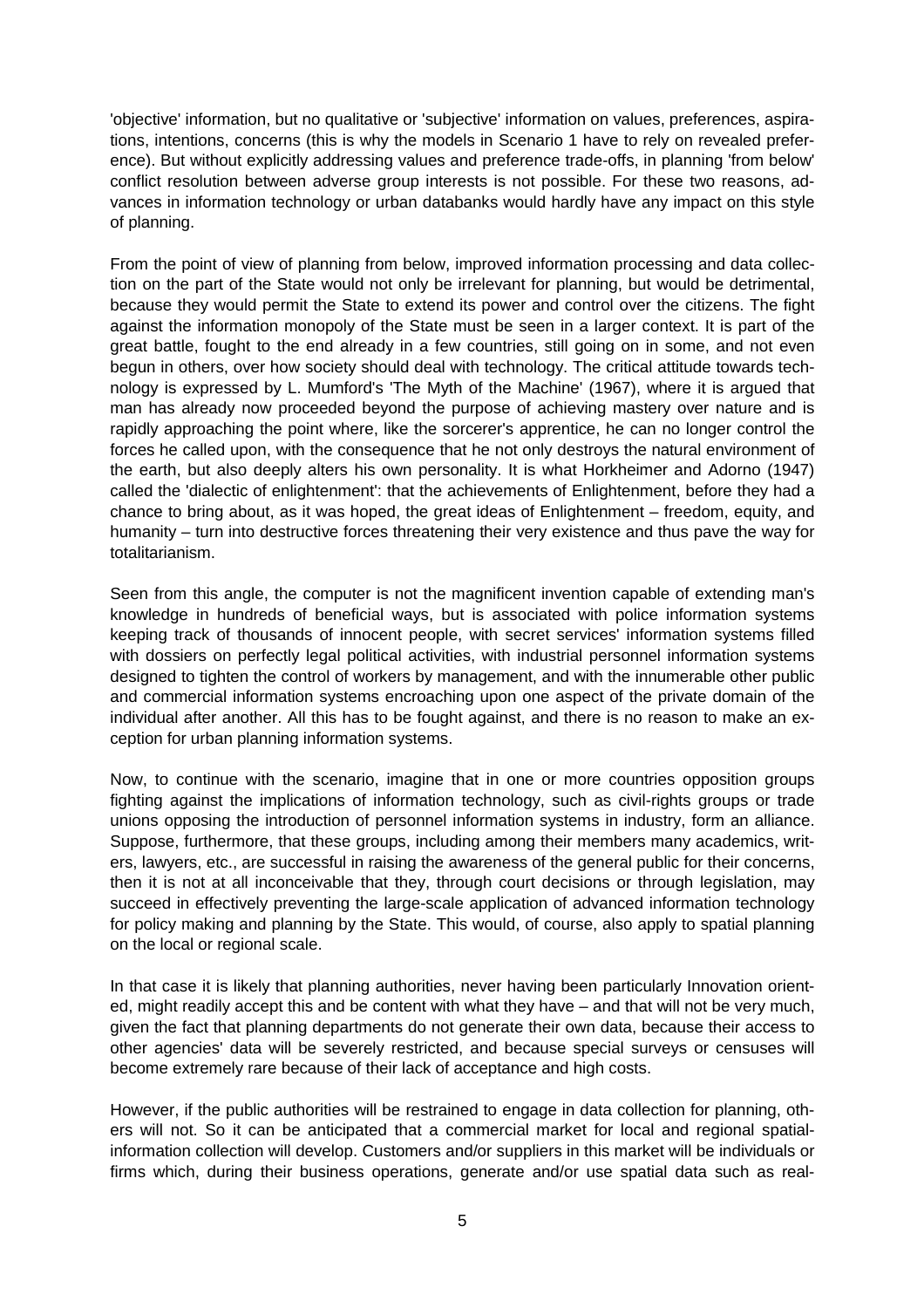'objective' information, but no qualitative or 'subjective' information on values, preferences, aspirations, intentions, concerns (this is why the models in Scenario 1 have to rely on revealed preference). But without explicitly addressing values and preference trade-offs, in planning 'from below' conflict resolution between adverse group interests is not possible. For these two reasons, advances in information technology or urban databanks would hardly have any impact on this style of planning.

From the point of view of planning from below, improved information processing and data collection on the part of the State would not only be irrelevant for planning, but would be detrimental, because they would permit the State to extend its power and control over the citizens. The fight against the information monopoly of the State must be seen in a larger context. It is part of the great battle, fought to the end already in a few countries, still going on in some, and not even begun in others, over how society should deal with technology. The critical attitude towards technology is expressed by L. Mumford's 'The Myth of the Machine' (1967), where it is argued that man has already now proceeded beyond the purpose of achieving mastery over nature and is rapidly approaching the point where, like the sorcerer's apprentice, he can no longer control the forces he called upon, with the consequence that he not only destroys the natural environment of the earth, but also deeply alters his own personality. It is what Horkheimer and Adorno (1947) called the 'dialectic of enlightenment': that the achievements of Enlightenment, before they had a chance to bring about, as it was hoped, the great ideas of Enlightenment – freedom, equity, and humanity – turn into destructive forces threatening their very existence and thus pave the way for totalitarianism.

Seen from this angle, the computer is not the magnificent invention capable of extending man's knowledge in hundreds of beneficial ways, but is associated with police information systems keeping track of thousands of innocent people, with secret services' information systems filled with dossiers on perfectly legal political activities, with industrial personnel information systems designed to tighten the control of workers by management, and with the innumerable other public and commercial information systems encroaching upon one aspect of the private domain of the individual after another. All this has to be fought against, and there is no reason to make an exception for urban planning information systems.

Now, to continue with the scenario, imagine that in one or more countries opposition groups fighting against the implications of information technology, such as civil-rights groups or trade unions opposing the introduction of personnel information systems in industry, form an alliance. Suppose, furthermore, that these groups, including among their members many academics, writers, lawyers, etc., are successful in raising the awareness of the general public for their concerns, then it is not at all inconceivable that they, through court decisions or through legislation, may succeed in effectively preventing the large-scale application of advanced information technology for policy making and planning by the State. This would, of course, also apply to spatial planning on the local or regional scale.

In that case it is likely that planning authorities, never having been particularly Innovation oriented, might readily accept this and be content with what they have – and that will not be very much, given the fact that planning departments do not generate their own data, because their access to other agencies' data will be severely restricted, and because special surveys or censuses will become extremely rare because of their lack of acceptance and high costs.

However, if the public authorities will be restrained to engage in data collection for planning, others will not. So it can be anticipated that a commercial market for local and regional spatialinformation collection will develop. Customers and/or suppliers in this market will be individuals or firms which, during their business operations, generate and/or use spatial data such as real-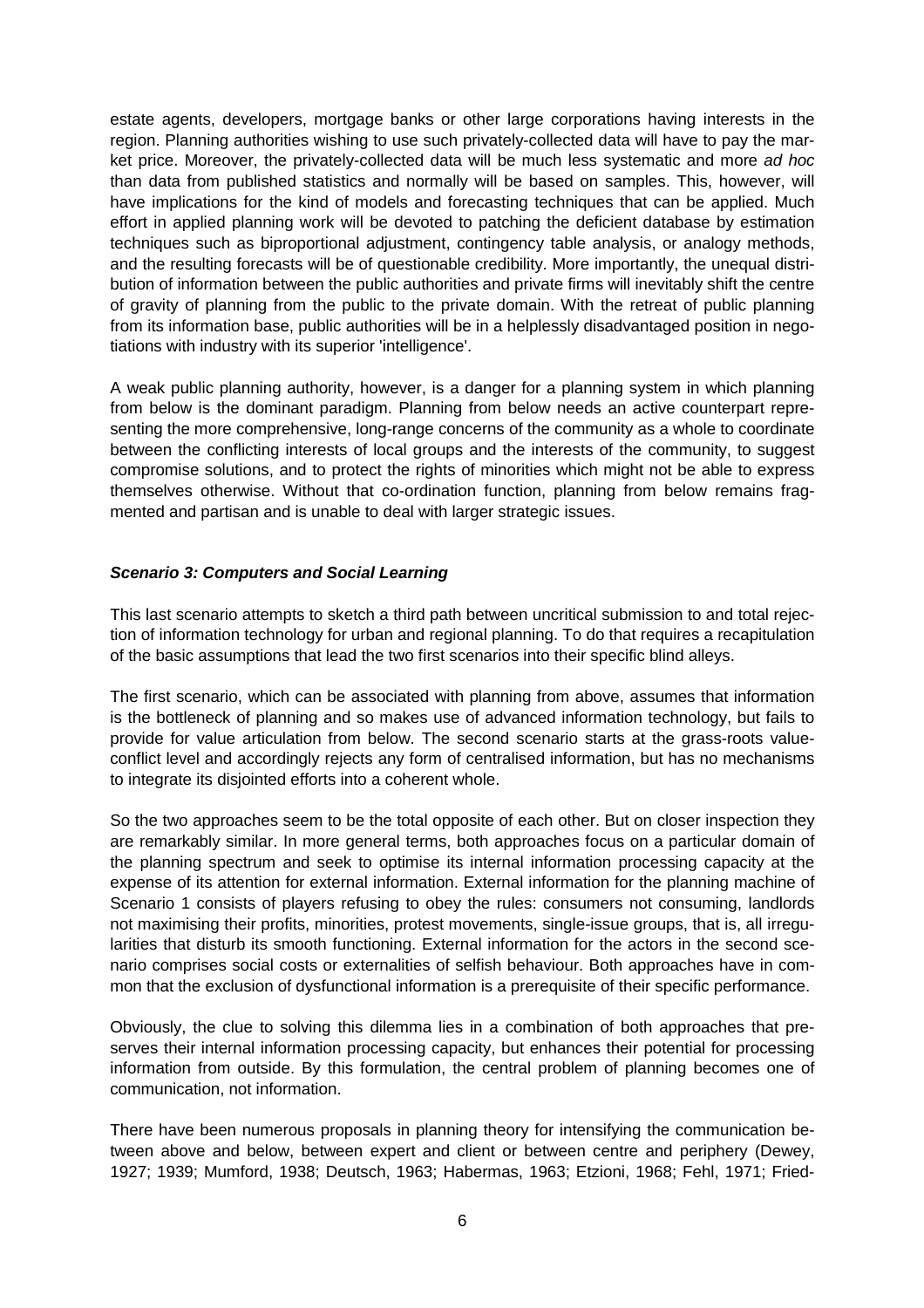estate agents, developers, mortgage banks or other large corporations having interests in the region. Planning authorities wishing to use such privately-collected data will have to pay the market price. Moreover, the privately-collected data will be much less systematic and more ad hoc than data from published statistics and normally will be based on samples. This, however, will have implications for the kind of models and forecasting techniques that can be applied. Much effort in applied planning work will be devoted to patching the deficient database by estimation techniques such as biproportional adjustment, contingency table analysis, or analogy methods, and the resulting forecasts will be of questionable credibility. More importantly, the unequal distribution of information between the public authorities and private firms will inevitably shift the centre of gravity of planning from the public to the private domain. With the retreat of public planning from its information base, public authorities will be in a helplessly disadvantaged position in negotiations with industry with its superior 'intelligence'.

A weak public planning authority, however, is a danger for a planning system in which planning from below is the dominant paradigm. Planning from below needs an active counterpart representing the more comprehensive, long-range concerns of the community as a whole to coordinate between the conflicting interests of local groups and the interests of the community, to suggest compromise solutions, and to protect the rights of minorities which might not be able to express themselves otherwise. Without that co-ordination function, planning from below remains fragmented and partisan and is unable to deal with larger strategic issues.

# **Scenario 3: Computers and Social Learning**

This last scenario attempts to sketch a third path between uncritical submission to and total rejection of information technology for urban and regional planning. To do that requires a recapitulation of the basic assumptions that lead the two first scenarios into their specific blind alleys.

The first scenario, which can be associated with planning from above, assumes that information is the bottleneck of planning and so makes use of advanced information technology, but fails to provide for value articulation from below. The second scenario starts at the grass-roots valueconflict level and accordingly rejects any form of centralised information, but has no mechanisms to integrate its disjointed efforts into a coherent whole.

So the two approaches seem to be the total opposite of each other. But on closer inspection they are remarkably similar. In more general terms, both approaches focus on a particular domain of the planning spectrum and seek to optimise its internal information processing capacity at the expense of its attention for external information. External information for the planning machine of Scenario 1 consists of players refusing to obey the rules: consumers not consuming, landlords not maximising their profits, minorities, protest movements, single-issue groups, that is, all irregularities that disturb its smooth functioning. External information for the actors in the second scenario comprises social costs or externalities of selfish behaviour. Both approaches have in common that the exclusion of dysfunctional information is a prerequisite of their specific performance.

Obviously, the clue to solving this dilemma lies in a combination of both approaches that preserves their internal information processing capacity, but enhances their potential for processing information from outside. By this formulation, the central problem of planning becomes one of communication, not information.

There have been numerous proposals in planning theory for intensifying the communication between above and below, between expert and client or between centre and periphery (Dewey, 1927; 1939; Mumford, 1938; Deutsch, 1963; Habermas, 1963; Etzioni, 1968; Fehl, 1971; Fried-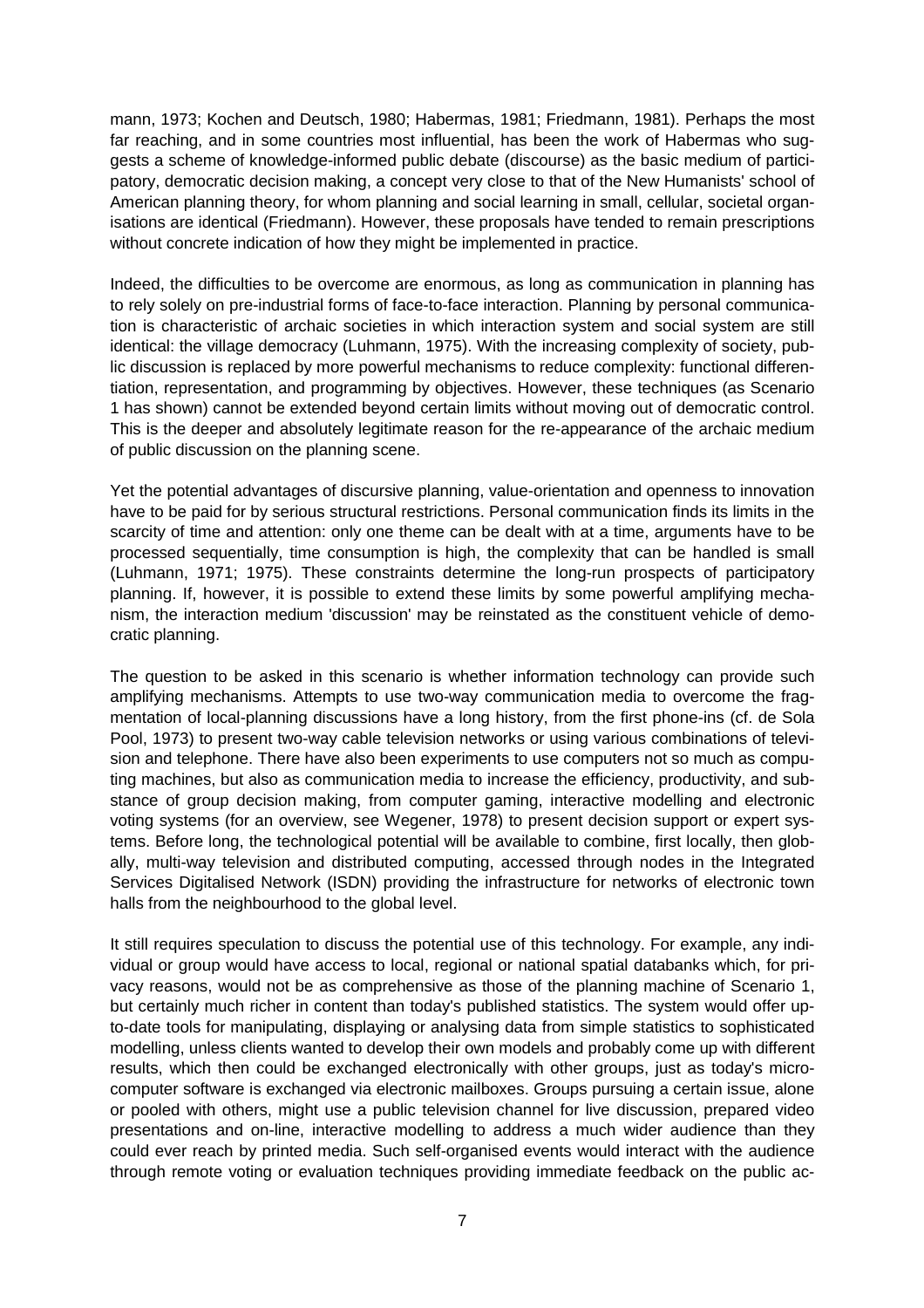mann, 1973; Kochen and Deutsch, 1980; Habermas, 1981; Friedmann, 1981). Perhaps the most far reaching, and in some countries most influential, has been the work of Habermas who suggests a scheme of knowledge-informed public debate (discourse) as the basic medium of participatory, democratic decision making, a concept very close to that of the New Humanists' school of American planning theory, for whom planning and social learning in small, cellular, societal organisations are identical (Friedmann). However, these proposals have tended to remain prescriptions without concrete indication of how they might be implemented in practice.

Indeed, the difficulties to be overcome are enormous, as long as communication in planning has to rely solely on pre-industrial forms of face-to-face interaction. Planning by personal communication is characteristic of archaic societies in which interaction system and social system are still identical: the village democracy (Luhmann, 1975). With the increasing complexity of society, public discussion is replaced by more powerful mechanisms to reduce complexity: functional differentiation, representation, and programming by objectives. However, these techniques (as Scenario 1 has shown) cannot be extended beyond certain limits without moving out of democratic control. This is the deeper and absolutely legitimate reason for the re-appearance of the archaic medium of public discussion on the planning scene.

Yet the potential advantages of discursive planning, value-orientation and openness to innovation have to be paid for by serious structural restrictions. Personal communication finds its limits in the scarcity of time and attention: only one theme can be dealt with at a time, arguments have to be processed sequentially, time consumption is high, the complexity that can be handled is small (Luhmann, 1971; 1975). These constraints determine the long-run prospects of participatory planning. If, however, it is possible to extend these limits by some powerful amplifying mechanism, the interaction medium 'discussion' may be reinstated as the constituent vehicle of democratic planning.

The question to be asked in this scenario is whether information technology can provide such amplifying mechanisms. Attempts to use two-way communication media to overcome the fragmentation of local-planning discussions have a long history, from the first phone-ins (cf. de Sola Pool, 1973) to present two-way cable television networks or using various combinations of television and telephone. There have also been experiments to use computers not so much as computing machines, but also as communication media to increase the efficiency, productivity, and substance of group decision making, from computer gaming, interactive modelling and electronic voting systems (for an overview, see Wegener, 1978) to present decision support or expert systems. Before long, the technological potential will be available to combine, first locally, then globally, multi-way television and distributed computing, accessed through nodes in the Integrated Services Digitalised Network (ISDN) providing the infrastructure for networks of electronic town halls from the neighbourhood to the global level.

It still requires speculation to discuss the potential use of this technology. For example, any individual or group would have access to local, regional or national spatial databanks which, for privacy reasons, would not be as comprehensive as those of the planning machine of Scenario 1, but certainly much richer in content than today's published statistics. The system would offer upto-date tools for manipulating, displaying or analysing data from simple statistics to sophisticated modelling, unless clients wanted to develop their own models and probably come up with different results, which then could be exchanged electronically with other groups, just as today's microcomputer software is exchanged via electronic mailboxes. Groups pursuing a certain issue, alone or pooled with others, might use a public television channel for live discussion, prepared video presentations and on-line, interactive modelling to address a much wider audience than they could ever reach by printed media. Such self-organised events would interact with the audience through remote voting or evaluation techniques providing immediate feedback on the public ac-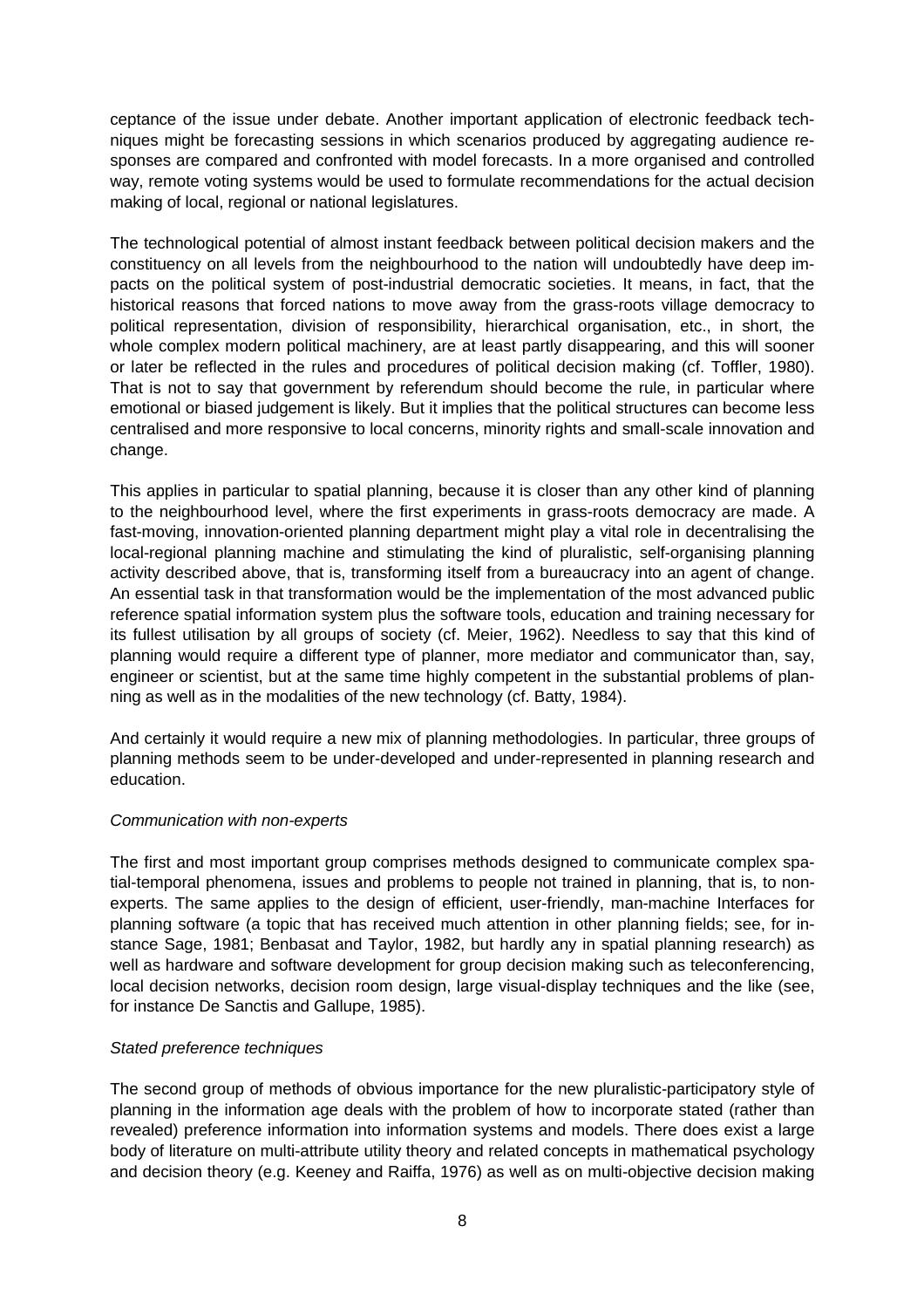ceptance of the issue under debate. Another important application of electronic feedback techniques might be forecasting sessions in which scenarios produced by aggregating audience responses are compared and confronted with model forecasts. In a more organised and controlled way, remote voting systems would be used to formulate recommendations for the actual decision making of local, regional or national legislatures.

The technological potential of almost instant feedback between political decision makers and the constituency on all levels from the neighbourhood to the nation will undoubtedly have deep impacts on the political system of post-industrial democratic societies. It means, in fact, that the historical reasons that forced nations to move away from the grass-roots village democracy to political representation, division of responsibility, hierarchical organisation, etc., in short, the whole complex modern political machinery, are at least partly disappearing, and this will sooner or later be reflected in the rules and procedures of political decision making (cf. Toffler, 1980). That is not to say that government by referendum should become the rule, in particular where emotional or biased judgement is likely. But it implies that the political structures can become less centralised and more responsive to local concerns, minority rights and small-scale innovation and change.

This applies in particular to spatial planning, because it is closer than any other kind of planning to the neighbourhood level, where the first experiments in grass-roots democracy are made. A fast-moving, innovation-oriented planning department might play a vital role in decentralising the local-regional planning machine and stimulating the kind of pluralistic, self-organising planning activity described above, that is, transforming itself from a bureaucracy into an agent of change. An essential task in that transformation would be the implementation of the most advanced public reference spatial information system plus the software tools, education and training necessary for its fullest utilisation by all groups of society (cf. Meier, 1962). Needless to say that this kind of planning would require a different type of planner, more mediator and communicator than, say, engineer or scientist, but at the same time highly competent in the substantial problems of planning as well as in the modalities of the new technology (cf. Batty, 1984).

And certainly it would require a new mix of planning methodologies. In particular, three groups of planning methods seem to be under-developed and under-represented in planning research and education.

#### Communication with non-experts

The first and most important group comprises methods designed to communicate complex spatial-temporal phenomena, issues and problems to people not trained in planning, that is, to nonexperts. The same applies to the design of efficient, user-friendly, man-machine Interfaces for planning software (a topic that has received much attention in other planning fields; see, for instance Sage, 1981; Benbasat and Taylor, 1982, but hardly any in spatial planning research) as well as hardware and software development for group decision making such as teleconferencing, local decision networks, decision room design, large visual-display techniques and the like (see, for instance De Sanctis and Gallupe, 1985).

#### Stated preference techniques

The second group of methods of obvious importance for the new pluralistic-participatory style of planning in the information age deals with the problem of how to incorporate stated (rather than revealed) preference information into information systems and models. There does exist a large body of literature on multi-attribute utility theory and related concepts in mathematical psychology and decision theory (e.g. Keeney and Raiffa, 1976) as well as on multi-objective decision making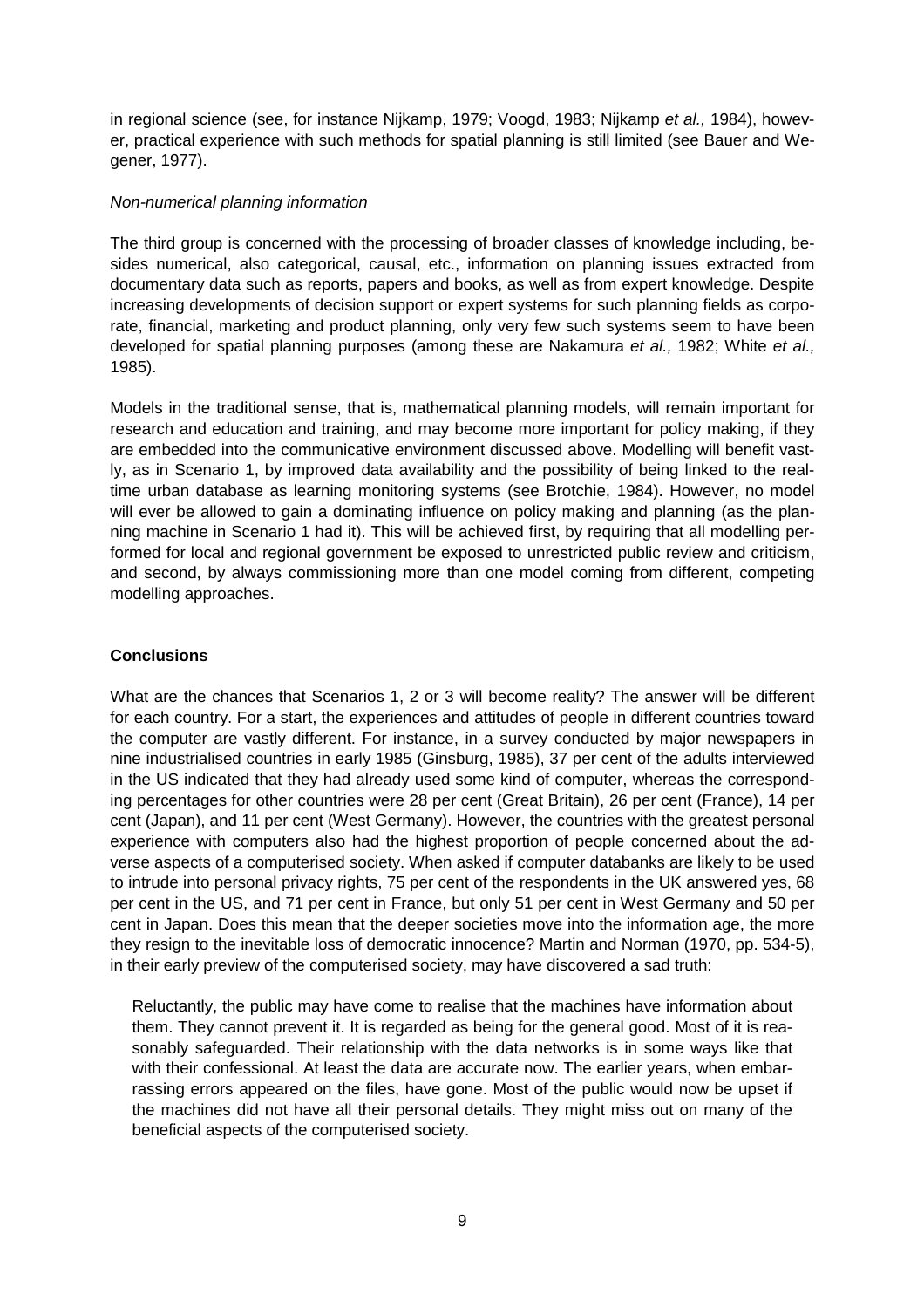in regional science (see, for instance Nijkamp, 1979; Voogd, 1983; Nijkamp et al., 1984), however, practical experience with such methods for spatial planning is still limited (see Bauer and Wegener, 1977).

## Non-numerical planning information

The third group is concerned with the processing of broader classes of knowledge including, besides numerical, also categorical, causal, etc., information on planning issues extracted from documentary data such as reports, papers and books, as well as from expert knowledge. Despite increasing developments of decision support or expert systems for such planning fields as corporate, financial, marketing and product planning, only very few such systems seem to have been developed for spatial planning purposes (among these are Nakamura et al., 1982; White et al., 1985).

Models in the traditional sense, that is, mathematical planning models, will remain important for research and education and training, and may become more important for policy making, if they are embedded into the communicative environment discussed above. Modelling will benefit vastly, as in Scenario 1, by improved data availability and the possibility of being linked to the realtime urban database as learning monitoring systems (see Brotchie, 1984). However, no model will ever be allowed to gain a dominating influence on policy making and planning (as the planning machine in Scenario 1 had it). This will be achieved first, by requiring that all modelling performed for local and regional government be exposed to unrestricted public review and criticism, and second, by always commissioning more than one model coming from different, competing modelling approaches.

# **Conclusions**

What are the chances that Scenarios 1, 2 or 3 will become reality? The answer will be different for each country. For a start, the experiences and attitudes of people in different countries toward the computer are vastly different. For instance, in a survey conducted by major newspapers in nine industrialised countries in early 1985 (Ginsburg, 1985), 37 per cent of the adults interviewed in the US indicated that they had already used some kind of computer, whereas the corresponding percentages for other countries were 28 per cent (Great Britain), 26 per cent (France), 14 per cent (Japan), and 11 per cent (West Germany). However, the countries with the greatest personal experience with computers also had the highest proportion of people concerned about the adverse aspects of a computerised society. When asked if computer databanks are likely to be used to intrude into personal privacy rights, 75 per cent of the respondents in the UK answered yes, 68 per cent in the US, and 71 per cent in France, but only 51 per cent in West Germany and 50 per cent in Japan. Does this mean that the deeper societies move into the information age, the more they resign to the inevitable loss of democratic innocence? Martin and Norman (1970, pp. 534-5), in their early preview of the computerised society, may have discovered a sad truth:

Reluctantly, the public may have come to realise that the machines have information about them. They cannot prevent it. It is regarded as being for the general good. Most of it is reasonably safeguarded. Their relationship with the data networks is in some ways like that with their confessional. At least the data are accurate now. The earlier years, when embarrassing errors appeared on the files, have gone. Most of the public would now be upset if the machines did not have all their personal details. They might miss out on many of the beneficial aspects of the computerised society.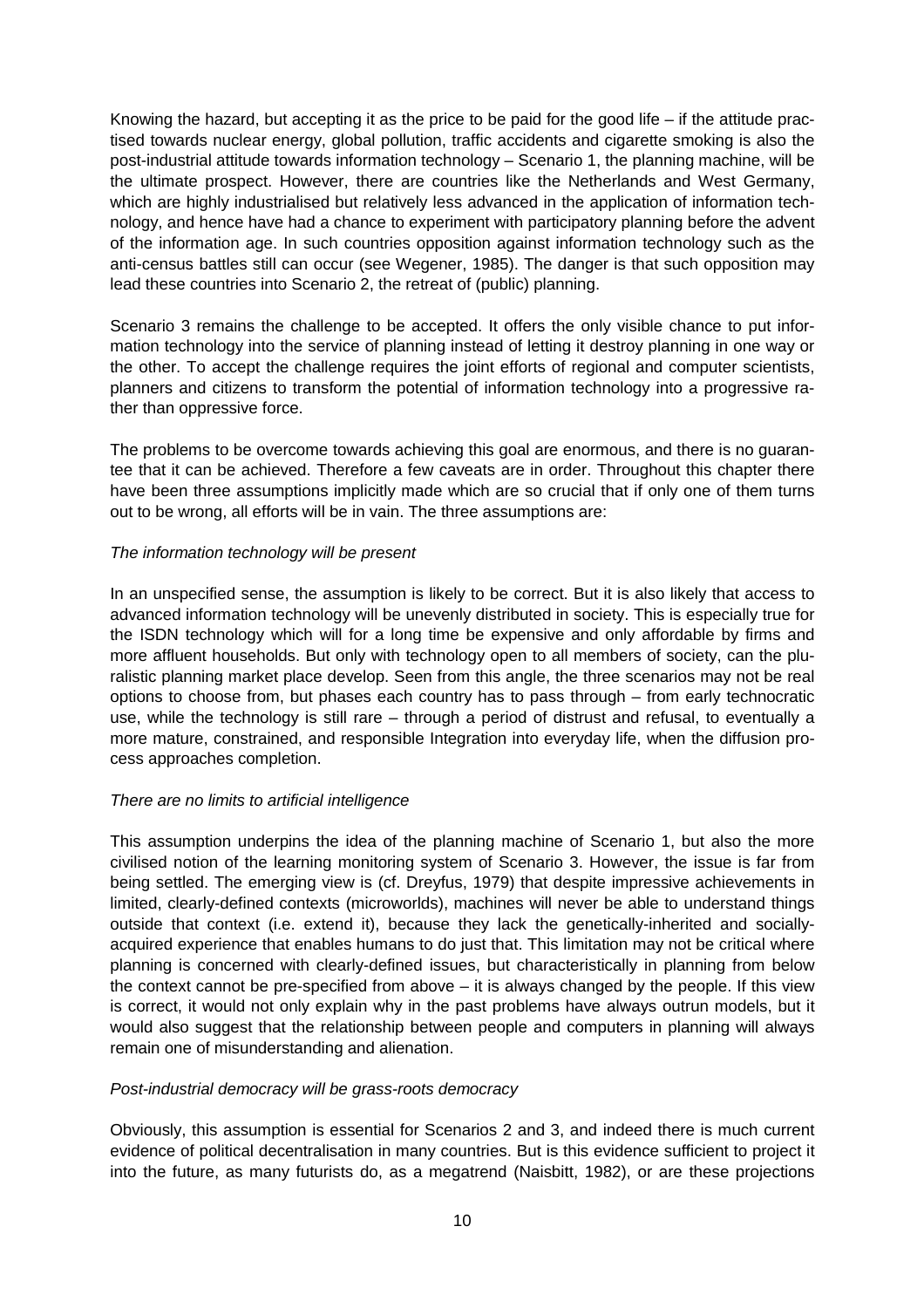Knowing the hazard, but accepting it as the price to be paid for the good life – if the attitude practised towards nuclear energy, global pollution, traffic accidents and cigarette smoking is also the post-industrial attitude towards information technology – Scenario 1, the planning machine, will be the ultimate prospect. However, there are countries like the Netherlands and West Germany, which are highly industrialised but relatively less advanced in the application of information technology, and hence have had a chance to experiment with participatory planning before the advent of the information age. In such countries opposition against information technology such as the anti-census battles still can occur (see Wegener, 1985). The danger is that such opposition may lead these countries into Scenario 2, the retreat of (public) planning.

Scenario 3 remains the challenge to be accepted. It offers the only visible chance to put information technology into the service of planning instead of letting it destroy planning in one way or the other. To accept the challenge requires the joint efforts of regional and computer scientists, planners and citizens to transform the potential of information technology into a progressive rather than oppressive force.

The problems to be overcome towards achieving this goal are enormous, and there is no guarantee that it can be achieved. Therefore a few caveats are in order. Throughout this chapter there have been three assumptions implicitly made which are so crucial that if only one of them turns out to be wrong, all efforts will be in vain. The three assumptions are:

### The information technology will be present

In an unspecified sense, the assumption is likely to be correct. But it is also likely that access to advanced information technology will be unevenly distributed in society. This is especially true for the ISDN technology which will for a long time be expensive and only affordable by firms and more affluent households. But only with technology open to all members of society, can the pluralistic planning market place develop. Seen from this angle, the three scenarios may not be real options to choose from, but phases each country has to pass through – from early technocratic use, while the technology is still rare – through a period of distrust and refusal, to eventually a more mature, constrained, and responsible Integration into everyday life, when the diffusion process approaches completion.

# There are no limits to artificial intelligence

This assumption underpins the idea of the planning machine of Scenario 1, but also the more civilised notion of the learning monitoring system of Scenario 3. However, the issue is far from being settled. The emerging view is (cf. Dreyfus, 1979) that despite impressive achievements in limited, clearly-defined contexts (microworlds), machines will never be able to understand things outside that context (i.e. extend it), because they lack the genetically-inherited and sociallyacquired experience that enables humans to do just that. This limitation may not be critical where planning is concerned with clearly-defined issues, but characteristically in planning from below the context cannot be pre-specified from above – it is always changed by the people. If this view is correct, it would not only explain why in the past problems have always outrun models, but it would also suggest that the relationship between people and computers in planning will always remain one of misunderstanding and alienation.

#### Post-industrial democracy will be grass-roots democracy

Obviously, this assumption is essential for Scenarios 2 and 3, and indeed there is much current evidence of political decentralisation in many countries. But is this evidence sufficient to project it into the future, as many futurists do, as a megatrend (Naisbitt, 1982), or are these projections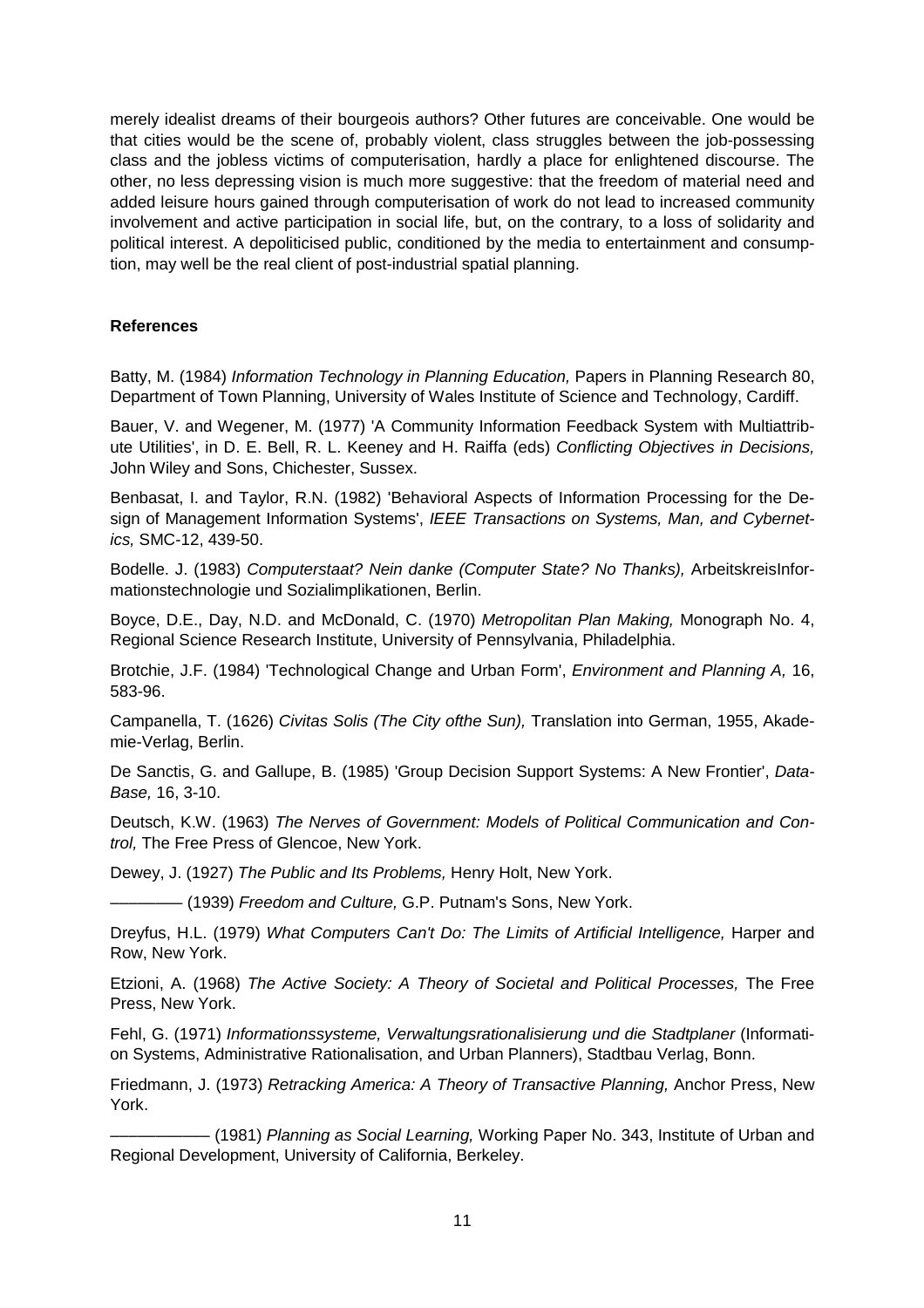merely idealist dreams of their bourgeois authors? Other futures are conceivable. One would be that cities would be the scene of, probably violent, class struggles between the job-possessing class and the jobless victims of computerisation, hardly a place for enlightened discourse. The other, no less depressing vision is much more suggestive: that the freedom of material need and added leisure hours gained through computerisation of work do not lead to increased community involvement and active participation in social life, but, on the contrary, to a loss of solidarity and political interest. A depoliticised public, conditioned by the media to entertainment and consumption, may well be the real client of post-industrial spatial planning.

# **References**

Batty, M. (1984) Information Technology in Planning Education, Papers in Planning Research 80, Department of Town Planning, University of Wales Institute of Science and Technology, Cardiff.

Bauer, V. and Wegener, M. (1977) 'A Community Information Feedback System with Multiattribute Utilities', in D. E. Bell, R. L. Keeney and H. Raiffa (eds) Conflicting Objectives in Decisions, John Wiley and Sons, Chichester, Sussex.

Benbasat, I. and Taylor, R.N. (1982) 'Behavioral Aspects of Information Processing for the Design of Management Information Systems', IEEE Transactions on Systems, Man, and Cybernetics, SMC-12, 439-50.

Bodelle. J. (1983) Computerstaat? Nein danke (Computer State? No Thanks), ArbeitskreisInformationstechnologie und Sozialimplikationen, Berlin.

Boyce, D.E., Day, N.D. and McDonald, C. (1970) Metropolitan Plan Making, Monograph No. 4, Regional Science Research Institute, University of Pennsylvania, Philadelphia.

Brotchie, J.F. (1984) 'Technological Change and Urban Form', Environment and Planning A, 16, 583-96.

Campanella, T. (1626) Civitas Solis (The City ofthe Sun), Translation into German, 1955, Akademie-Verlag, Berlin.

De Sanctis, G. and Gallupe, B. (1985) 'Group Decision Support Systems: A New Frontier', Data-Base, 16, 3-10.

Deutsch, K.W. (1963) The Nerves of Government: Models of Political Communication and Control, The Free Press of Glencoe, New York.

Dewey, J. (1927) The Public and Its Problems, Henry Holt, New York.

 $-$  (1939) Freedom and Culture, G.P. Putnam's Sons, New York.

Dreyfus, H.L. (1979) What Computers Can't Do: The Limits of Artificial Intelligence, Harper and Row, New York.

Etzioni, A. (1968) The Active Society: A Theory of Societal and Political Processes, The Free Press, New York.

Fehl, G. (1971) Informationssysteme, Verwaltungsrationalisierung und die Stadtplaner (Information Systems, Administrative Rationalisation, and Urban Planners), Stadtbau Verlag, Bonn.

Friedmann, J. (1973) Retracking America: A Theory of Transactive Planning, Anchor Press, New York.

– (1981) Planning as Social Learning, Working Paper No. 343, Institute of Urban and Regional Development, University of California, Berkeley.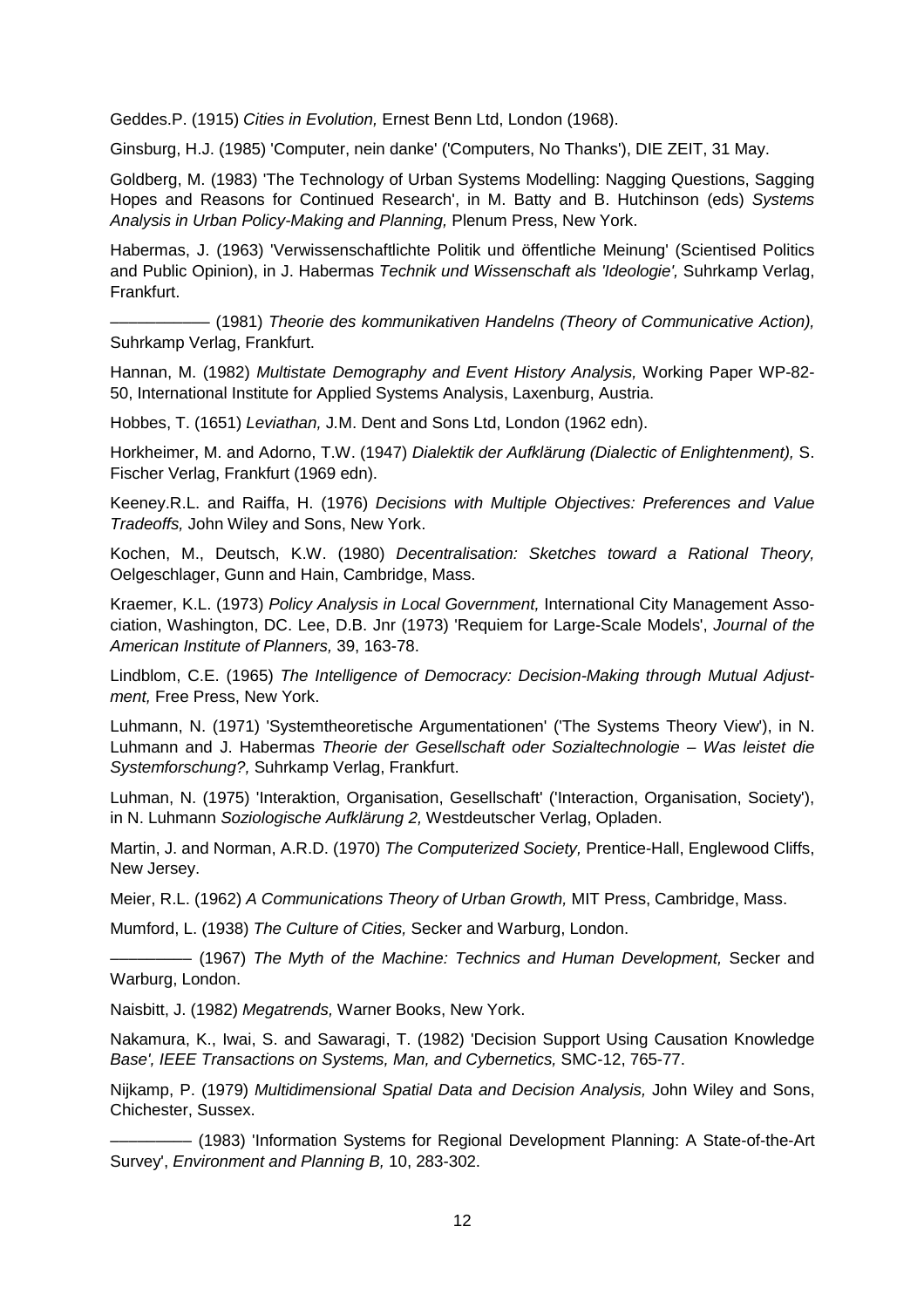Geddes.P. (1915) Cities in Evolution, Ernest Benn Ltd, London (1968).

Ginsburg, H.J. (1985) 'Computer, nein danke' ('Computers, No Thanks'), DIE ZEIT, 31 May.

Goldberg, M. (1983) 'The Technology of Urban Systems Modelling: Nagging Questions, Sagging Hopes and Reasons for Continued Research', in M. Batty and B. Hutchinson (eds) Systems Analysis in Urban Policy-Making and Planning, Plenum Press, New York.

Habermas, J. (1963) 'Verwissenschaftlichte Politik und öffentliche Meinung' (Scientised Politics and Public Opinion), in J. Habermas Technik und Wissenschaft als 'Ideologie', Suhrkamp Verlag, Frankfurt.

––––––––––– (1981) Theorie des kommunikativen Handelns (Theory of Communicative Action), Suhrkamp Verlag, Frankfurt.

Hannan, M. (1982) Multistate Demography and Event History Analysis, Working Paper WP-82- 50, International Institute for Applied Systems Analysis, Laxenburg, Austria.

Hobbes, T. (1651) Leviathan, J.M. Dent and Sons Ltd, London (1962 edn).

Horkheimer, M. and Adorno, T.W. (1947) Dialektik der Aufklärung (Dialectic of Enlightenment), S. Fischer Verlag, Frankfurt (1969 edn).

Keeney.R.L. and Raiffa, H. (1976) Decisions with Multiple Objectives: Preferences and Value Tradeoffs, John Wiley and Sons, New York.

Kochen, M., Deutsch, K.W. (1980) Decentralisation: Sketches toward a Rational Theory, Oelgeschlager, Gunn and Hain, Cambridge, Mass.

Kraemer, K.L. (1973) Policy Analysis in Local Government, International City Management Association, Washington, DC. Lee, D.B. Jnr (1973) 'Requiem for Large-Scale Models', Journal of the American Institute of Planners, 39, 163-78.

Lindblom, C.E. (1965) The Intelligence of Democracy: Decision-Making through Mutual Adjustment, Free Press, New York.

Luhmann, N. (1971) 'Systemtheoretische Argumentationen' ('The Systems Theory View'), in N. Luhmann and J. Habermas Theorie der Gesellschaft oder Sozialtechnologie – Was leistet die Systemforschung?, Suhrkamp Verlag, Frankfurt.

Luhman, N. (1975) 'Interaktion, Organisation, Gesellschaft' ('Interaction, Organisation, Society'), in N. Luhmann Soziologische Aufklärung 2, Westdeutscher Verlag, Opladen.

Martin, J. and Norman, A.R.D. (1970) The Computerized Society, Prentice-Hall, Englewood Cliffs, New Jersey.

Meier, R.L. (1962) A Communications Theory of Urban Growth, MIT Press, Cambridge, Mass.

Mumford, L. (1938) The Culture of Cities, Secker and Warburg, London.

 $-$  (1967) The Myth of the Machine: Technics and Human Development, Secker and Warburg, London.

Naisbitt, J. (1982) Megatrends, Warner Books, New York.

Nakamura, K., Iwai, S. and Sawaragi, T. (1982) 'Decision Support Using Causation Knowledge Base', IEEE Transactions on Systems, Man, and Cybernetics, SMC-12, 765-77.

Nijkamp, P. (1979) Multidimensional Spatial Data and Decision Analysis, John Wiley and Sons, Chichester, Sussex.

––––––––– (1983) 'Information Systems for Regional Development Planning: A State-of-the-Art Survey', Environment and Planning B, 10, 283-302.